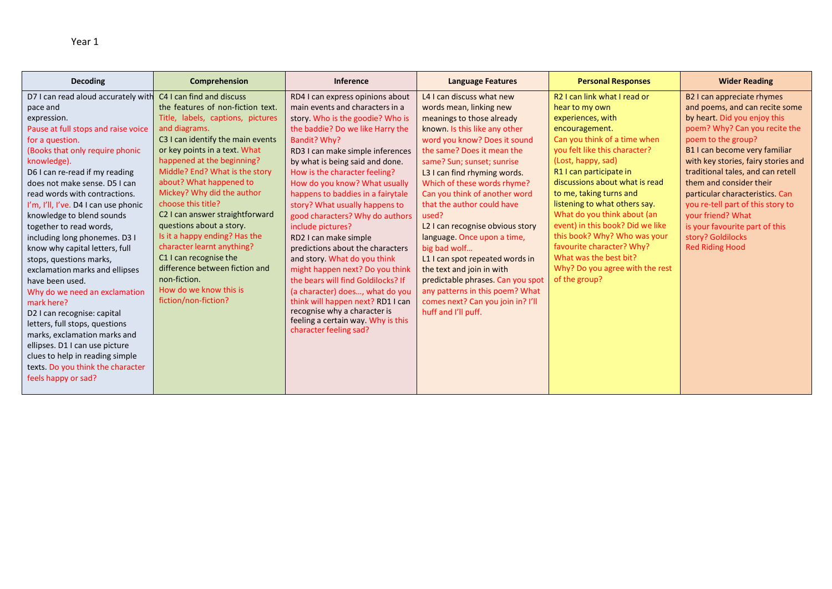| <b>Decoding</b>                      | Comprehension                     | <b>Inference</b>                   | <b>Language Features</b>          | <b>Personal Responses</b>        | <b>Wider Reading</b>                |
|--------------------------------------|-----------------------------------|------------------------------------|-----------------------------------|----------------------------------|-------------------------------------|
| D7 I can read aloud accurately with  | C4 I can find and discuss         | RD4 I can express opinions about   | L4 I can discuss what new         | R2 I can link what I read or     | B2 I can appreciate rhymes          |
| pace and                             | the features of non-fiction text. | main events and characters in a    | words mean, linking new           | hear to my own                   | and poems, and can recite some      |
| expression.                          | Title, labels, captions, pictures | story. Who is the goodie? Who is   | meanings to those already         | experiences, with                | by heart. Did you enjoy this        |
| Pause at full stops and raise voice  | and diagrams.                     | the baddie? Do we like Harry the   | known. Is this like any other     | encouragement.                   | poem? Why? Can you recite the       |
| for a question.                      | C3 I can identify the main events | Bandit? Why?                       | word you know? Does it sound      | Can you think of a time when     | poem to the group?                  |
| (Books that only require phonic      | or key points in a text. What     | RD3 I can make simple inferences   | the same? Does it mean the        | you felt like this character?    | B1 I can become very familiar       |
| knowledge).                          | happened at the beginning?        | by what is being said and done.    | same? Sun; sunset; sunrise        | (Lost, happy, sad)               | with key stories, fairy stories and |
| D6 I can re-read if my reading       | Middle? End? What is the story    | How is the character feeling?      | L3 I can find rhyming words.      | R1 I can participate in          | traditional tales, and can retell   |
| does not make sense. D5 I can        | about? What happened to           | How do you know? What usually      | Which of these words rhyme?       | discussions about what is read   | them and consider their             |
| read words with contractions.        | Mickey? Why did the author        | happens to baddies in a fairytale  | Can you think of another word     | to me, taking turns and          | particular characteristics. Can     |
| I'm, I'll, I've. D4 I can use phonic | choose this title?                | story? What usually happens to     | that the author could have        | listening to what others say.    | you re-tell part of this story to   |
| knowledge to blend sounds            | C2 I can answer straightforward   | good characters? Why do authors    | used?                             | What do you think about (an      | your friend? What                   |
| together to read words,              | questions about a story.          | include pictures?                  | L2 I can recognise obvious story  | event) in this book? Did we like | is your favourite part of this      |
| including long phonemes. D3 I        | Is it a happy ending? Has the     | RD2 I can make simple              | language. Once upon a time,       | this book? Why? Who was your     | story? Goldilocks                   |
| know why capital letters, full       | character learnt anything?        | predictions about the characters   | big bad wolf                      | favourite character? Why?        | <b>Red Riding Hood</b>              |
| stops, questions marks,              | C1 I can recognise the            | and story. What do you think       | L1 I can spot repeated words in   | What was the best bit?           |                                     |
| exclamation marks and ellipses       | difference between fiction and    | might happen next? Do you think    | the text and join in with         | Why? Do you agree with the rest  |                                     |
| have been used.                      | non-fiction.                      | the bears will find Goldilocks? If | predictable phrases. Can you spot | of the group?                    |                                     |
| Why do we need an exclamation        | How do we know this is            | (a character) does, what do you    | any patterns in this poem? What   |                                  |                                     |
| mark here?                           | fiction/non-fiction?              | think will happen next? RD1 I can  | comes next? Can you join in? I'll |                                  |                                     |
| D2 I can recognise: capital          |                                   | recognise why a character is       | huff and I'll puff.               |                                  |                                     |
| letters, full stops, questions       |                                   | feeling a certain way. Why is this |                                   |                                  |                                     |
| marks, exclamation marks and         |                                   | character feeling sad?             |                                   |                                  |                                     |
| ellipses. D1 I can use picture       |                                   |                                    |                                   |                                  |                                     |
| clues to help in reading simple      |                                   |                                    |                                   |                                  |                                     |
| texts. Do you think the character    |                                   |                                    |                                   |                                  |                                     |
| feels happy or sad?                  |                                   |                                    |                                   |                                  |                                     |
|                                      |                                   |                                    |                                   |                                  |                                     |